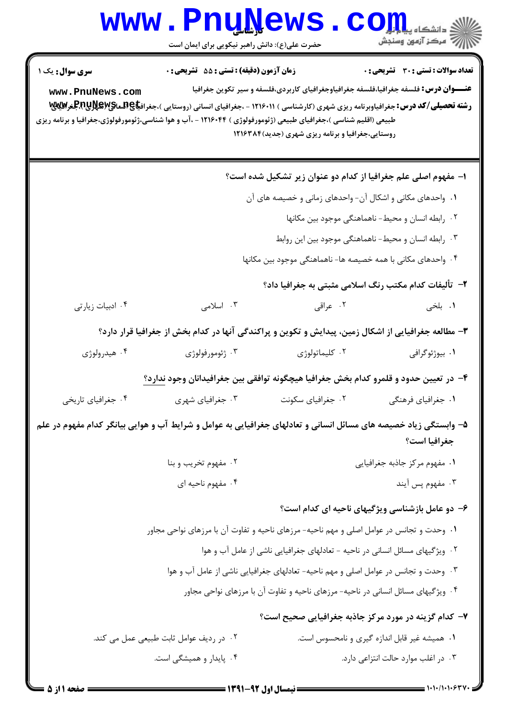## **www.PnuNews.com** ے<br>ا*للہ* مرکز آزمون وسنجش حضرت علی(ع): دانش راهبر نیکویی برای ایمان است **سری سوال :** یک ۱ **زمان آزمون (دقیقه) : تستی : 55 تشریحی: 0** تعداد سوالات : تستي : 30 - تشريحي : 0 **عنـــوان درس:** فلسفه جغرافیا،فلسفه جغرافیاوجغرافیای کاربردی،فلسفه و سیر تکوین جغرافیا www.PnuNews.com رشته تحصیلی/کد درس: جغرافیاوبرنامه ریزی شهری (کارشناسی ) ۱۲۱۶۰۱۱ - ،جغرافیای انسانی (روستایی )،جغرافیاعEx،پگولالالابالجغرافیای طبیعی (اقلیم شناسی )،جغرافیای طبیعی (ژئومورفولوژی ) ۱۲۱۶۰۴۴ - ،آب و هوا شناسی،ژئومورفولوژی،جغرافیا و برنامه ریزی روستایی،جغرافیا و برنامه ریزی شهری (جدید) ۱۲۱۶۳۸۴ ا- مفهوم اصلی علم جغرافیا از کدام دو عنوان زیر تشکیل شده است؟ ۰۱ واحدهای مکانی و اشکال آن- واحدهای زمانی و خصیصه های آن ۰۲ رابطه انسان و محیط- ناهماهنگی موجود بین مکانها ۰۳ رابطه انسان و محیط- ناهماهنگی موجود بین این روابط ۰۴ واحدهای مکانی با همه خصیصه ها- ناهماهنگی موجود بین مکانها ۲- تألیفات کدام مکتب رنگ اسلامی مثبتی به جغرافیا داد؟ ۰۳ اسلامی ٢. عراقى ۰۱ بلخي ۰۴ ادبیات زیارتی ٣- مطالعه جغرافیایی از اشکال زمین، پیدایش و تکوین و پراکندگی آنها در کدام بخش از جغرافیا قرار دارد؟ ۰۴ هیدرولوژی ۰۲ کلیماتولوژی ۰۳ ژئومورفولوژی ۰۱ بیوژئوگرافی ۴- در تعیین حدود و قلمرو کدام بخش جغرافیا هیچگونه توافقی بین جغرافیدانان وجود ندارد؟ ۰۴ جغرافیای تاریخی ۰۳ جغرافیای شهری ۰۲ جغرافیای سکونت ۰۱ جغرافیای فرهنگی ۵- وابستگی زیاد خصیصه های مسائل انسانی و تعادلهای جغرافیایی به عوامل و شرایط آب و هوایی بیانگر کدام مفهوم در علم جغرافيا است؟ ۰۲ مفهوم تخریب و بنا ٠١. مفهوم مركز جاذبه جغرافيايي ۰۴ مفهوم ناحیه ای ۰۳ مفهوم پس آیند ۶– دو عامل بازشناسی ویژگیهای ناحیه ای کدام است؟ ۰۱ وحدت و تجانس در عوامل اصلی و مهم ناحیه- مرزهای ناحیه و تفاوت آن با مرزهای نواحی مجاور ٢. ویژگیهای مسائل انسانی در ناحیه - تعادلهای جغرافیایی ناشی از عامل آب و هوا ۰۳ وحدت و تجانس در عوامل اصلی و مهم ناحیه- تعادلهای جغرافیایی ناشی از عامل آب و هوا ۰۴ ویژ گیهای مسائل انسانی در ناحیه- مرزهای ناحیه و تفاوت آن با مرزهای نواحی مجاور  $\cdot$ ۴ ٧- كدام گزينه در مورد مركز جاذبه جغرافيايي صحيح است؟ ۰۱ همیشه غیر قابل اندازه گیری و نامحسوس است. ٠٢ در رديف عوامل ثابت طبيعي عمل مي كند. ۰۴ پایدار و همیشگی است. ۰۳ در اغلب موارد حالت انتزاعی دارد.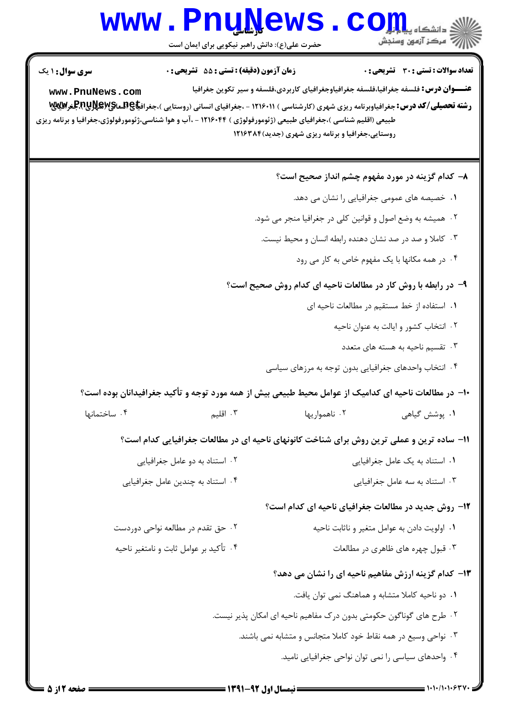## Www.PnuNews.com

حضرت علی(ع): دانش راهبر نیکویی برای ایمان است

| <b>سری سوال : ۱ یک</b><br>www.PnuNews.com                     | <b>زمان آزمون (دقیقه) : تستی : 55 تشریحی : 0</b><br>طبیعی (اقلیم شناسی )،جغرافیای طبیعی (ژئومورفولوژی ) ۱۲۱۶۰۴۴ - ،آب و هوا شناسی،ژئومورفولوژی،جغرافیا و برنامه ریزی | <b>تعداد سوالات : تستی : 30 ٪ تشریحی : 0</b><br><b>عنـــوان درس:</b> فلسفه جغرافیا،فلسفه جغرافیاوجغرافیای کاربردی،فلسفه و سیر تکوین جغرافیا<br><b>رشته تحصیلی/کد درس:</b> جغرافیاوبرنامه ریزی شهری (کارشناسی ) ۱۲۱۶۰۱۱ - ،جغرافیای انسانی (روستایی )،جغراف <b>یاA،BWE تاپ</b><br>.<br>روستایی،جغرافیا و برنامه ریزی شهری (جدید)۱۲۱۶۳۸۴ |  |  |
|---------------------------------------------------------------|----------------------------------------------------------------------------------------------------------------------------------------------------------------------|----------------------------------------------------------------------------------------------------------------------------------------------------------------------------------------------------------------------------------------------------------------------------------------------------------------------------------------|--|--|
|                                                               |                                                                                                                                                                      | ۸– کدام گزینه در مورد مفهوم چشم انداز صحیح است؟                                                                                                                                                                                                                                                                                        |  |  |
|                                                               |                                                                                                                                                                      | ۰۱ خصیصه های عمومی جغرافیایی را نشان می دهد.                                                                                                                                                                                                                                                                                           |  |  |
|                                                               |                                                                                                                                                                      | ۰۲ همیشه به وضع اصول و قوانین کلی در جغرافیا منجر می شود.                                                                                                                                                                                                                                                                              |  |  |
|                                                               |                                                                                                                                                                      | ۰۳ کاملا و صد در صد نشان دهنده رابطه انسان و محیط نیست.                                                                                                                                                                                                                                                                                |  |  |
|                                                               |                                                                                                                                                                      | ۰۴ در همه مکانها با یک مفهوم خاص به کار می رود                                                                                                                                                                                                                                                                                         |  |  |
| ۹- در رابطه با روش کار در مطالعات ناحیه ای کدام روش صحیح است؟ |                                                                                                                                                                      |                                                                                                                                                                                                                                                                                                                                        |  |  |
|                                                               |                                                                                                                                                                      | ٠١. استفاده از خط مستقيم در مطالعات ناحيه اي                                                                                                                                                                                                                                                                                           |  |  |
|                                                               |                                                                                                                                                                      | ۰۲ انتخاب کشور و ایالت به عنوان ناحیه                                                                                                                                                                                                                                                                                                  |  |  |
|                                                               |                                                                                                                                                                      | ۰۳ تقسیم ناحیه به هسته های متعدد                                                                                                                                                                                                                                                                                                       |  |  |
|                                                               |                                                                                                                                                                      | ۰۴ انتخاب واحدهای جغرافیایی بدون توجه به مرزهای سیاسی                                                                                                                                                                                                                                                                                  |  |  |
|                                                               |                                                                                                                                                                      | ∙ا− در مطالعات ناحیه ای کدامیک از عوامل محیط طبیعی بیش از همه مورد توجه و تأکید جغرافیدانان بوده است؟                                                                                                                                                                                                                                  |  |  |
| ۰۴ ساختمانها                                                  | ۰۳ اقلیم                                                                                                                                                             | ۰۲ ناهمواریها<br>۰۱ پوشش گیاهی                                                                                                                                                                                                                                                                                                         |  |  |
|                                                               |                                                                                                                                                                      | 11- ساده ترین و عملی ترین روش برای شناخت کانونهای ناحیه ای در مطالعات جغرافیایی کدام است؟                                                                                                                                                                                                                                              |  |  |
|                                                               | ۰۲ استناد به دو عامل جغرافیایی                                                                                                                                       | ٠١ استناد به يک عامل جغرافيايي                                                                                                                                                                                                                                                                                                         |  |  |
|                                                               | ۰۴ استناد به چندین عامل جغرافیایی                                                                                                                                    | ۰۳ استناد به سه عامل جغرافیایی                                                                                                                                                                                                                                                                                                         |  |  |
|                                                               |                                                                                                                                                                      | ۱۲- روش جدید در مطالعات جغرافیای ناحیه ای کدام است؟                                                                                                                                                                                                                                                                                    |  |  |
|                                                               | ۰۲ حق تقدم در مطالعه نواحی دوردست                                                                                                                                    | ۰۱ اولویت دادن به عوامل متغیر و ناثابت ناحیه                                                                                                                                                                                                                                                                                           |  |  |
|                                                               | ۰۴ تأكيد بر عوامل ثابت و نامتغير ناحيه                                                                                                                               | ۰۳ قبول چهره های ظاهری در مطالعات                                                                                                                                                                                                                                                                                                      |  |  |
|                                                               |                                                                                                                                                                      | ۱۳- کدام گزینه ارزش مفاهیم ناحیه ای را نشان می دهد؟                                                                                                                                                                                                                                                                                    |  |  |
|                                                               |                                                                                                                                                                      | ۰۱ دو ناحیه کاملا متشابه و هماهنگ نمی توان یافت.                                                                                                                                                                                                                                                                                       |  |  |
|                                                               |                                                                                                                                                                      | ۲. طرح های گوناگون حکومتی بدون درک مفاهیم ناحیه ای امکان پذیر نیست.                                                                                                                                                                                                                                                                    |  |  |
|                                                               |                                                                                                                                                                      | ٣. نواحي وسيع در همه نقاط خود كاملا متجانس و متشابه نمي باشند.                                                                                                                                                                                                                                                                         |  |  |
|                                                               |                                                                                                                                                                      | ۰۴ واحدهای سیاسی را نمی توان نواحی جغرافیایی نامید.                                                                                                                                                                                                                                                                                    |  |  |
| <b>: صفحه 12ز 5</b>                                           | == نیمسال اول 92-1391 =                                                                                                                                              |                                                                                                                                                                                                                                                                                                                                        |  |  |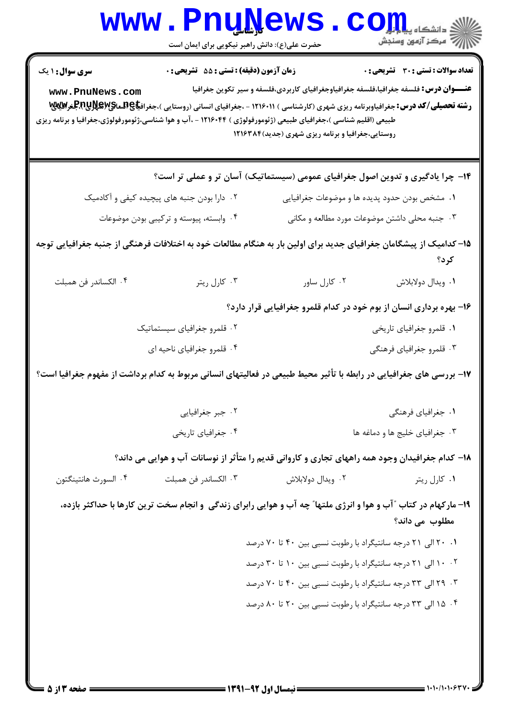| <b>WWW</b>                                                                                                                 | حضرت علی(ع): دانش راهبر نیکویی برای ایمان است               | <u>UNTAAP</u>                                                                                                                                                                                                                                                       | دانشگاه پ <b>یا ب<sup>ا</sup> تو<mark>ر</mark></b><br>رآب امرڪز آزمون وسنڊش |  |  |
|----------------------------------------------------------------------------------------------------------------------------|-------------------------------------------------------------|---------------------------------------------------------------------------------------------------------------------------------------------------------------------------------------------------------------------------------------------------------------------|-----------------------------------------------------------------------------|--|--|
| سری سوال : ۱ یک<br>www.PnuNews.com                                                                                         | <b>زمان آزمون (دقیقه) : تستی : 55 تشریحی : 0</b>            | <b>عنـــوان درس:</b> فلسفه جغرافیا،فلسفه جغرافیاوجغرافیای کاربردی،فلسفه و سیر تکوین جغرافیا<br>طبیعی (اقلیم شناسی )،جغرافیای طبیعی (ژئومورفولوژی ) ۱۲۱۶۰۴۴ - ،آب و هوا شناسی،ژئومورفولوژی،جغرافیا و برنامه ریزی<br>روستایی،جغرافیا و برنامه ریزی شهری (جدید)۱۲۱۶۳۸۴ | تعداد سوالات : تستي : 30 ٪ تشريحي : 0                                       |  |  |
|                                                                                                                            |                                                             | ۱۴- چرا یادگیری و تدوین اصول جغرافیای عمومی (سیستماتیک) آسان تر و عملی تر است؟                                                                                                                                                                                      |                                                                             |  |  |
| ۰۲ دارا بودن جنبه های پیچیده کیفی و آکادمیک                                                                                |                                                             |                                                                                                                                                                                                                                                                     | ٠١ مشخص بودن حدود پديده ها و موضوعات جغرافيايي                              |  |  |
|                                                                                                                            | ۰۴ وابسته، پیوسته و ترکیبی بودن موضوعات                     |                                                                                                                                                                                                                                                                     | ۰۳ جنبه محلی داشتن موضوعات مورد مطالعه و مکانی                              |  |  |
| ۱۵– کدامیک از پیشگامان جغرافیای جدید برای اولین بار به هنگام مطالعات خود به اختلافات فرهنگی از جنبه جغرافیایی توجه<br>کرد؟ |                                                             |                                                                                                                                                                                                                                                                     |                                                                             |  |  |
| ۰۴ الكساندر فن همبلت                                                                                                       | ۰۳ کارل ریتر                                                | ٠٢ كارل ساور                                                                                                                                                                                                                                                        | ٠١. ويدال دولابلاش                                                          |  |  |
|                                                                                                                            |                                                             | ۱۶- بهره برداری انسان از بوم خود در کدام قلمرو جغرافیایی قرار دارد؟                                                                                                                                                                                                 |                                                                             |  |  |
|                                                                                                                            | ۰۲ قلمرو جغرافیای سیستماتیک                                 |                                                                                                                                                                                                                                                                     | ۰۱ قلمرو جغرافیای تاریخی                                                    |  |  |
| ۰۴ قلمرو جغرافیای ناحیه ای                                                                                                 |                                                             |                                                                                                                                                                                                                                                                     | ۰۳ قلمرو جغرافیای فرهنگی                                                    |  |  |
|                                                                                                                            |                                                             | ۱۷– بررسی های جغرافیایی در رابطه با تأثیر محیط طبیعی در فعالیتهای انسانی مربوط به کدام برداشت از مفهوم جغرافیا است؟                                                                                                                                                 |                                                                             |  |  |
| ۰۲ جبر جغرافیایی                                                                                                           |                                                             |                                                                                                                                                                                                                                                                     | ۰۱ جغرافیای فرهنگی                                                          |  |  |
|                                                                                                                            | ۰۴ جغرافیای تاریخی                                          | ۰۳ جغرافیای خلیج ها و دماغه ها                                                                                                                                                                                                                                      |                                                                             |  |  |
|                                                                                                                            |                                                             | ۱۸– کدام جغرافیدان وجود همه راههای تجاری و کاروانی قدیم را متأثر از نوسانات آب و هوایی می داند؟                                                                                                                                                                     |                                                                             |  |  |
| ۰۴ السورث هانتينگتون                                                                                                       | ۰۳ الكساندر فن همبلت                                        | ۰۲ ویدال دولابلاش                                                                                                                                                                                                                                                   | ۰۱ کارل ریتر                                                                |  |  |
|                                                                                                                            |                                                             | ۱۹- مارکهام در کتاب "آب و هوا و انرژی ملتها" چه آب و هوایی رابرای زندگی ً و انجام سخت ترین کارها با حداکثر بازده،                                                                                                                                                   | مطلوب می داند؟                                                              |  |  |
|                                                                                                                            | ۰۱ ۲۰ الی ۲۱ درجه سانتیگراد با رطوبت نسبی بین ۴۰ تا ۷۰ درصد |                                                                                                                                                                                                                                                                     |                                                                             |  |  |
| ۰۲ ۱۰ الی ۲۱ درجه سانتیگراد با رطوبت نسبی بین ۱۰ تا ۳۰ درصد                                                                |                                                             |                                                                                                                                                                                                                                                                     |                                                                             |  |  |
| ۰۳ ـ ۲۹ الی ۳۳ درجه سانتیگراد با رطوبت نسبی بین ۴۰ تا ۷۰ درصد                                                              |                                                             |                                                                                                                                                                                                                                                                     |                                                                             |  |  |
|                                                                                                                            |                                                             | ۰۴ ه ۱۵ الی ۳۳ درجه سانتیگراد با رطوبت نسبی بین ۲۰ تا ۸۰ درصد                                                                                                                                                                                                       |                                                                             |  |  |
|                                                                                                                            |                                                             |                                                                                                                                                                                                                                                                     |                                                                             |  |  |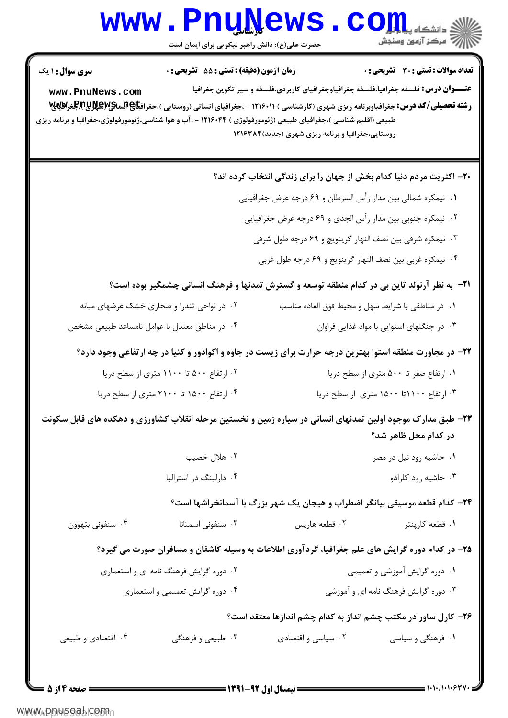## Www.PnuNews.com

| <b>تعداد سوالات : تستی : 30 ٪ تشریحی : 0</b><br><b>عنـــوان درس:</b> فلسفه جغرافیا،فلسفه جغرافیاوجغرافیای کاربردی،فلسفه و سیر تکوین جغرافیا<br><b>رشته تحصیلی/کد درس:</b> جغرافیاوبرنامه ریزی شهری (کارشناسی ) ۱۲۱۶۰۱۱ - ،جغرافیای انسانی (روستایی )،جغراف <b>یاA،ERها©RپRپRپ</b><br>. | روستایی،جغرافیا و برنامه ریزی شهری (جدید)۱۲۱۶۳۸۴             | زمان آزمون (دقیقه) : تستی : 55 آتشریحی : 0    | <b>سری سوال : ۱ یک</b><br>www.PnuNews.com<br>طبیعی (اقلیم شناسی )،جغرافیای طبیعی (ژئومورفولوژی ) ۱۲۱۶۰۴۴ - ،آب و هوا شناسی،ژئومورفولوژی،جغرافیا و برنامه ریزی |  |
|----------------------------------------------------------------------------------------------------------------------------------------------------------------------------------------------------------------------------------------------------------------------------------------|--------------------------------------------------------------|-----------------------------------------------|---------------------------------------------------------------------------------------------------------------------------------------------------------------|--|
| +۲- اکثریت مردم دنیا کدام بخش از جهان را برای زندگی انتخاب کرده اند؟                                                                                                                                                                                                                   |                                                              |                                               |                                                                                                                                                               |  |
|                                                                                                                                                                                                                                                                                        | ١. نيمكره شمالي بين مدار رأس السرطان و ٤٩ درجه عرض جغرافيايي |                                               |                                                                                                                                                               |  |
|                                                                                                                                                                                                                                                                                        | ۰۲ نیمکره جنوبی بین مدار رأس الجدی و ۶۹ درجه عرض جغرافیایی   |                                               |                                                                                                                                                               |  |
|                                                                                                                                                                                                                                                                                        | ۰۳ نیمکره شرقی بین نصف النهار گرینویچ و ۶۹ درجه طول شرقی     |                                               |                                                                                                                                                               |  |
|                                                                                                                                                                                                                                                                                        | ۰۴ نیمکره غربی بین نصف النهار گرینویچ و ۶۹ درجه طول غربی     |                                               |                                                                                                                                                               |  |
| <b>۲۱</b> - ً به نظر آرنولد تاین بی در کدام منطقه توسعه و گسترش تمدنها و فرهنگ انسانی چشمگیر بوده است؟                                                                                                                                                                                 |                                                              |                                               |                                                                                                                                                               |  |
| ٠١ در مناطقي با شرايط سهل و محيط فوق العاده مناسب                                                                                                                                                                                                                                      |                                                              | ۰۲ در نواحی تندرا و صحاری خشک عرضهای میانه    |                                                                                                                                                               |  |
| ۰۳ در جنگلهای استوایی با مواد غذایی فراوان                                                                                                                                                                                                                                             |                                                              | ۰۴ در مناطق معتدل با عوامل نامساعد طبیعی مشخص |                                                                                                                                                               |  |
| ۲۲- در مجاورت منطقه استوا بهترین درجه حرارت برای زیست در جاوه و اکوادور و کنیا در چه ارتفاعی وجود دارد؟                                                                                                                                                                                |                                                              |                                               |                                                                                                                                                               |  |
| ۰۱ ارتفاع صفر تا ۵۰۰ متری از سطح دریا                                                                                                                                                                                                                                                  |                                                              | ۰۲ ارتفاع ۵۰۰ تا ۱۱۰۰ متری از سطح دریا        |                                                                                                                                                               |  |
| ۰۳ ارتفاع ۱۱۰۰تا ۱۵۰۰ متری از سطح دریا                                                                                                                                                                                                                                                 |                                                              | ۰۴ ارتفاع ۱۵۰۰ تا ۲۱۰۰ متری از سطح دریا       |                                                                                                                                                               |  |
| ۲۳– طبق مدارک موجود اولین تمدنهای انسانی در سیاره زمین و نخستین مرحله انقلاب کشاورزی و دهکده های قابل سکونت<br>در کدام محل ظاهر شد؟                                                                                                                                                    |                                                              |                                               |                                                                                                                                                               |  |
| ۰۱ حاشیه رود نیل در مصر                                                                                                                                                                                                                                                                |                                                              | ۰۲ هلال خصیب                                  |                                                                                                                                                               |  |
| ۰۳ حاشیه رود کلرادو                                                                                                                                                                                                                                                                    |                                                              | ۰۴ دارلینگ در استرالیا                        |                                                                                                                                                               |  |
| ۲۴– کدام قطعه موسیقی بیانگر اضطراب و هیجان یک شهر بزرگ با آسمانخراشها است؟                                                                                                                                                                                                             |                                                              |                                               |                                                                                                                                                               |  |
| ۰۱ قطعه کارپنتر                                                                                                                                                                                                                                                                        | ۰۲ قطعه هاريس                                                | ۰۳ سنفونی اسمتانا                             | ۰۴ سنفوني بتهوون                                                                                                                                              |  |
| ۲۵- در کدام دوره گرایش های علم جغرافیا، گردآوری اطلاعات به وسیله کاشفان و مسافران صورت می گیرد؟                                                                                                                                                                                        |                                                              |                                               |                                                                                                                                                               |  |
| ۰۱ دوره گرایش آموزشی و تعمیمی                                                                                                                                                                                                                                                          |                                                              | ۰۲ دوره گرایش فرهنگ نامه ای و استعماری        |                                                                                                                                                               |  |
| ۰۳ دوره گرایش فرهنگ نامه ای و آموزشی                                                                                                                                                                                                                                                   |                                                              |                                               | ۰۴ دوره گرایش تعمیمی و استعماری                                                                                                                               |  |
| ۲۶- کارل ساور در مکتب چشم انداز به کدام چشم اندازها معتقد است؟                                                                                                                                                                                                                         |                                                              |                                               |                                                                                                                                                               |  |
| ۰۱ فرهنگی و سیاسی                                                                                                                                                                                                                                                                      | ۰۲ سیاسی و اقتصادی                                           | ۰۳ طبیعی و فرهنگی                             | ۰۴ اقتصادي و طبيعي                                                                                                                                            |  |